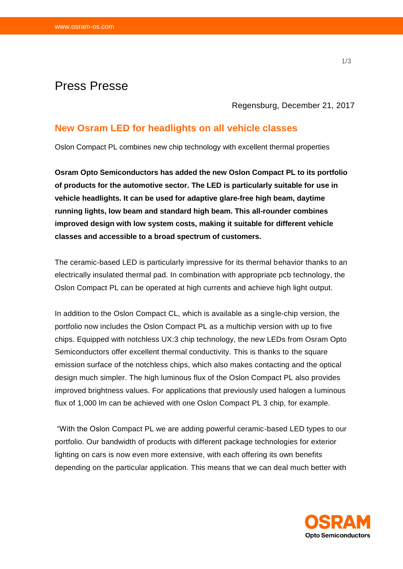# Press Presse

Regensburg, December 21, 2017

## **New Osram LED for headlights on all vehicle classes**

Oslon Compact PL combines new chip technology with excellent thermal properties

**Osram Opto Semiconductors has added the new Oslon Compact PL to its portfolio of products for the automotive sector. The LED is particularly suitable for use in vehicle headlights. It can be used for adaptive glare-free high beam, daytime running lights, low beam and standard high beam. This all-rounder combines improved design with low system costs, making it suitable for different vehicle classes and accessible to a broad spectrum of customers.**

The ceramic-based LED is particularly impressive for its thermal behavior thanks to an electrically insulated thermal pad. In combination with appropriate pcb technology, the Oslon Compact PL can be operated at high currents and achieve high light output.

In addition to the Oslon Compact CL, which is available as a single-chip version, the portfolio now includes the Oslon Compact PL as a multichip version with up to five chips. Equipped with notchless UX:3 chip technology, the new LEDs from Osram Opto Semiconductors offer excellent thermal conductivity. This is thanks to the square emission surface of the notchless chips, which also makes contacting and the optical design much simpler. The high luminous flux of the Oslon Compact PL also provides improved brightness values. For applications that previously used halogen a luminous flux of 1,000 lm can be achieved with one Oslon Compact PL 3 chip, for example.

"With the Oslon Compact PL we are adding powerful ceramic-based LED types to our portfolio. Our bandwidth of products with different package technologies for exterior lighting on cars is now even more extensive, with each offering its own benefits depending on the particular application. This means that we can deal much better with

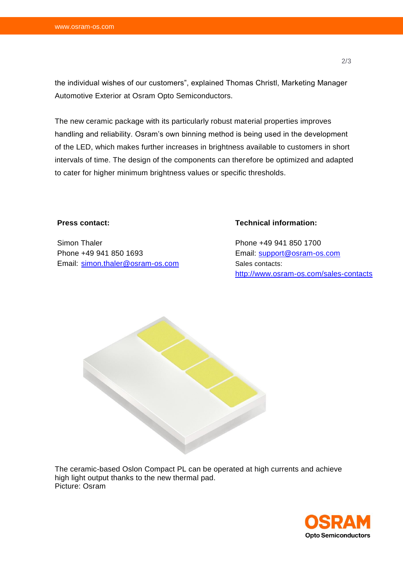the individual wishes of our customers", explained Thomas Christl, Marketing Manager Automotive Exterior at Osram Opto Semiconductors.

The new ceramic package with its particularly robust material properties improves handling and reliability. Osram's own binning method is being used in the development of the LED, which makes further increases in brightness available to customers in short intervals of time. The design of the components can therefore be optimized and adapted to cater for higher minimum brightness values or specific thresholds.

#### **Press contact:**

Simon Thaler Phone +49 941 850 1693 Email: [simon.thaler@osram-os.com](mailto:simon.thaler@osram-os.com)

### **Technical information:**

Phone +49 941 850 1700 Email: [support@osram-os.com](mailto:support@osram-os.com) Sales contacts: <http://www.osram-os.com/sales-contacts>